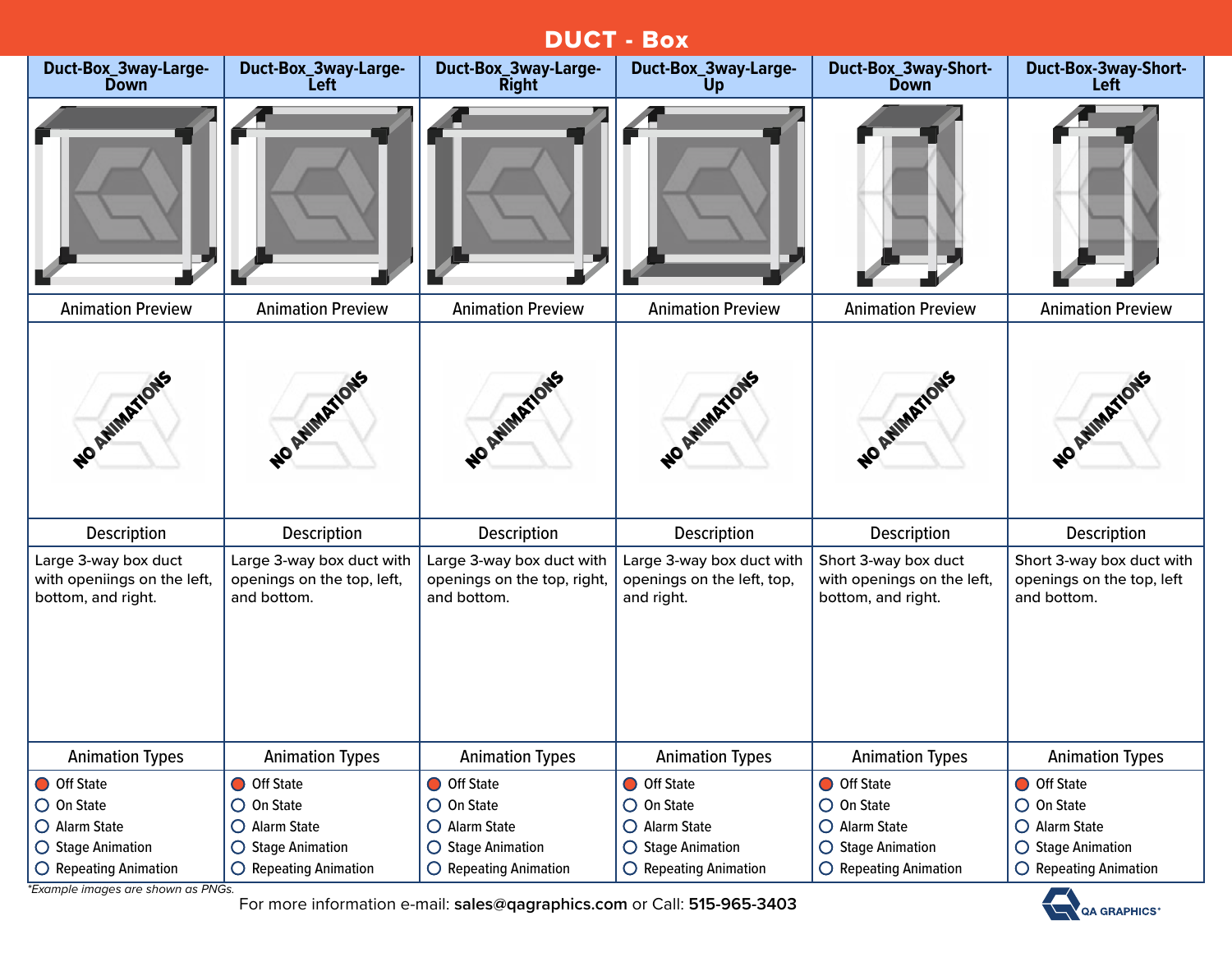# DUCT - Box

| Duct-Box_3way-Large-<br><b>Down</b>                                       | Duct-Box_3way-Large-<br><b>Left</b>                                    | Duct-Box_3way-Large-<br><b>Right</b>                                    | Duct-Box_3way-Large-<br>Up                                            | Duct-Box_3way-Short-<br><b>Down</b>                                      | <b>Duct-Box-3way-Short-</b><br>Left                                   |
|---------------------------------------------------------------------------|------------------------------------------------------------------------|-------------------------------------------------------------------------|-----------------------------------------------------------------------|--------------------------------------------------------------------------|-----------------------------------------------------------------------|
|                                                                           |                                                                        |                                                                         |                                                                       |                                                                          |                                                                       |
| <b>Animation Preview</b>                                                  | <b>Animation Preview</b>                                               | <b>Animation Preview</b>                                                | <b>Animation Preview</b>                                              | <b>Animation Preview</b>                                                 | <b>Animation Preview</b>                                              |
| NO AVIMATIONS                                                             | NO ANIMATIONS                                                          | NO ANIMATIONS                                                           | WO AWARTYONS                                                          | NO AWMATIONS                                                             | NO AMIMATIONS                                                         |
| Description                                                               | <b>Description</b>                                                     | <b>Description</b>                                                      | <b>Description</b>                                                    | <b>Description</b>                                                       | Description                                                           |
| Large 3-way box duct<br>with openiings on the left,<br>bottom, and right. | Large 3-way box duct with<br>openings on the top, left,<br>and bottom. | Large 3-way box duct with<br>openings on the top, right,<br>and bottom. | Large 3-way box duct with<br>openings on the left, top,<br>and right. | Short 3-way box duct<br>with openings on the left,<br>bottom, and right. | Short 3-way box duct with<br>openings on the top, left<br>and bottom. |
| <b>Animation Types</b>                                                    | <b>Animation Types</b>                                                 | <b>Animation Types</b>                                                  | <b>Animation Types</b>                                                | <b>Animation Types</b>                                                   | <b>Animation Types</b>                                                |
| O Off State                                                               | O Off State                                                            | O Off State                                                             | O Off State                                                           | O Off State                                                              | O Off State                                                           |
| $\bigcirc$ On State                                                       | $\bigcirc$ On State                                                    | $\bigcirc$ On State                                                     | $\bigcirc$ On State                                                   | $\bigcirc$ On State                                                      | $\bigcirc$ On State                                                   |
| O Alarm State                                                             | O Alarm State                                                          | O Alarm State                                                           | O Alarm State                                                         | O Alarm State                                                            | O Alarm State                                                         |
| ○ Stage Animation                                                         | ○ Stage Animation                                                      | ○ Stage Animation                                                       | $\bigcirc$ Stage Animation                                            | ○ Stage Animation                                                        | ◯ Stage Animation                                                     |
| $\bigcirc$ Repeating Animation                                            | $\bigcirc$ Repeating Animation                                         | $\bigcirc$ Repeating Animation                                          | $\bigcirc$ Repeating Animation                                        | $\bigcirc$ Repeating Animation                                           | $\bigcirc$ Repeating Animation                                        |

*\*Example images are shown as PNGs.*

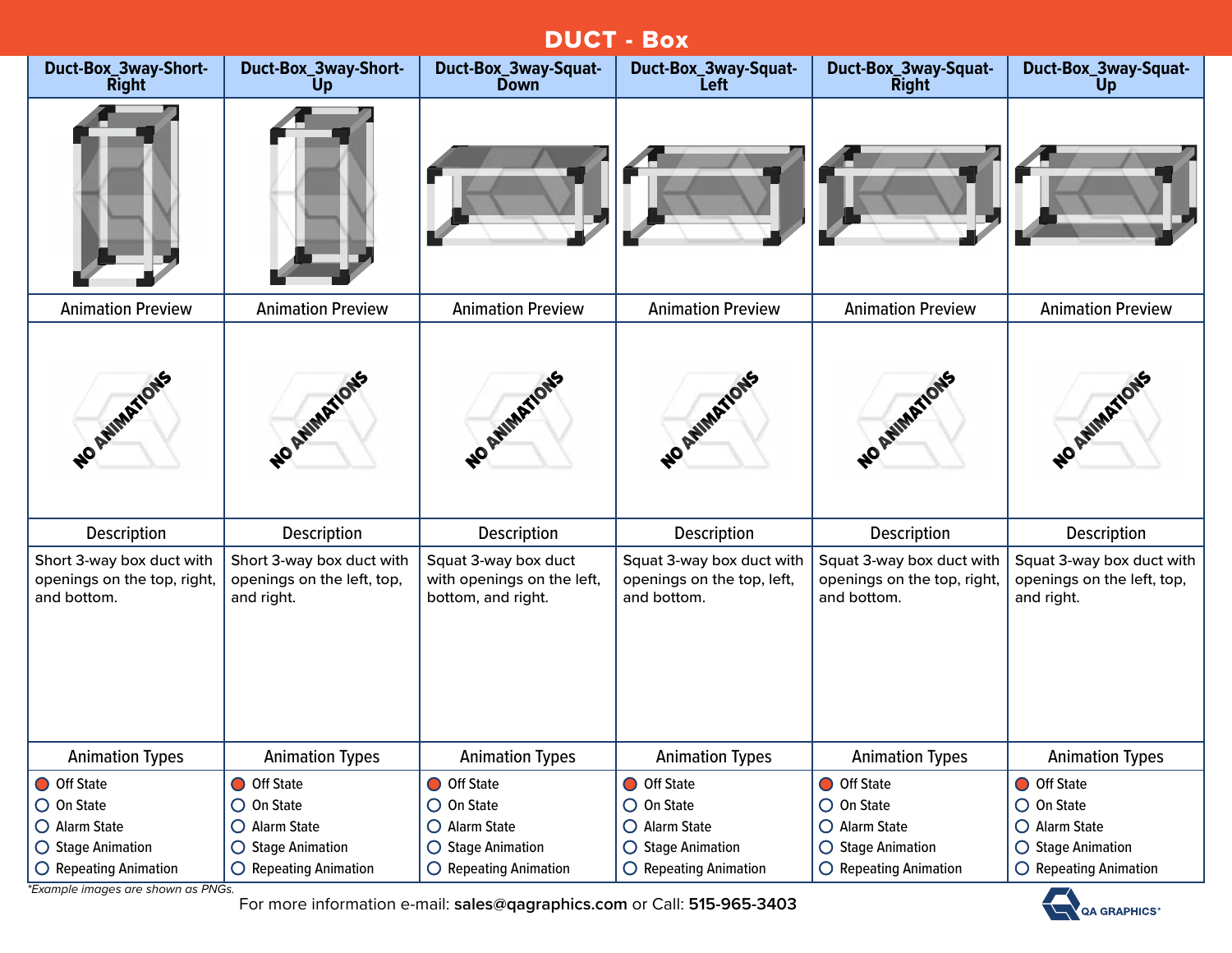|                                                                          | <b>DUCT - Box</b>                                                        |                                                                                   |                                                                                   |                                                                                   |                                                                                     |  |  |  |
|--------------------------------------------------------------------------|--------------------------------------------------------------------------|-----------------------------------------------------------------------------------|-----------------------------------------------------------------------------------|-----------------------------------------------------------------------------------|-------------------------------------------------------------------------------------|--|--|--|
| Duct-Box_3way-Short-<br><b>Right</b>                                     | Duct-Box_3way-Short-<br>Up                                               | Duct-Box_3way-Squat-<br><b>Down</b>                                               | Duct-Box_3way-Squat-<br><b>Left</b>                                               | Duct-Box_3way-Squat-<br><b>Right</b>                                              | Duct-Box_3way-Squat-<br>Up                                                          |  |  |  |
|                                                                          |                                                                          |                                                                                   |                                                                                   |                                                                                   |                                                                                     |  |  |  |
| <b>Animation Preview</b>                                                 | <b>Animation Preview</b>                                                 | <b>Animation Preview</b>                                                          | <b>Animation Preview</b>                                                          | <b>Animation Preview</b>                                                          | <b>Animation Preview</b>                                                            |  |  |  |
| NO ANIMATIONS                                                            | <b>ARWHATIONS</b>                                                        | NO REVIEWONS                                                                      | NO AMMATIONS                                                                      | NO ATHIMATIONS                                                                    | NO AVIMATIONS                                                                       |  |  |  |
| Description                                                              | Description                                                              | Description                                                                       | Description                                                                       | Description                                                                       | <b>Description</b>                                                                  |  |  |  |
| Short 3-way box duct with<br>openings on the top, right,<br>and bottom.  | Short 3-way box duct with<br>openings on the left, top,<br>and right.    | Squat 3-way box duct<br>with openings on the left,<br>bottom, and right.          | Squat 3-way box duct with<br>openings on the top, left,<br>and bottom.            | Squat 3-way box duct with<br>openings on the top, right,<br>and bottom.           | Squat 3-way box duct with<br>openings on the left, top,<br>and right.               |  |  |  |
| <b>Animation Types</b>                                                   | <b>Animation Types</b>                                                   | <b>Animation Types</b>                                                            | <b>Animation Types</b>                                                            | <b>Animation Types</b>                                                            | <b>Animation Types</b>                                                              |  |  |  |
| O Off State<br>$\bigcirc$ On State<br>O Alarm State<br>○ Stage Animation | O Off State<br>$\bigcirc$ On State<br>O Alarm State<br>○ Stage Animation | O Off State<br>$\bigcirc$ On State<br>O Alarm State<br>$\bigcirc$ Stage Animation | O Off State<br>$\bigcirc$ On State<br>O Alarm State<br>$\bigcirc$ Stage Animation | O Off State<br>$\bigcirc$ On State<br>O Alarm State<br>$\bigcirc$ Stage Animation | O Off State<br>$\bigcirc$ On State<br>$O$ Alarm State<br>$\bigcirc$ Stage Animation |  |  |  |
| O Repeating Animation                                                    | O Repeating Animation                                                    | $\bigcirc$ Repeating Animation                                                    | $\bigcirc$ Repeating Animation                                                    | $\bigcirc$ Repeating Animation                                                    | O Repeating Animation                                                               |  |  |  |

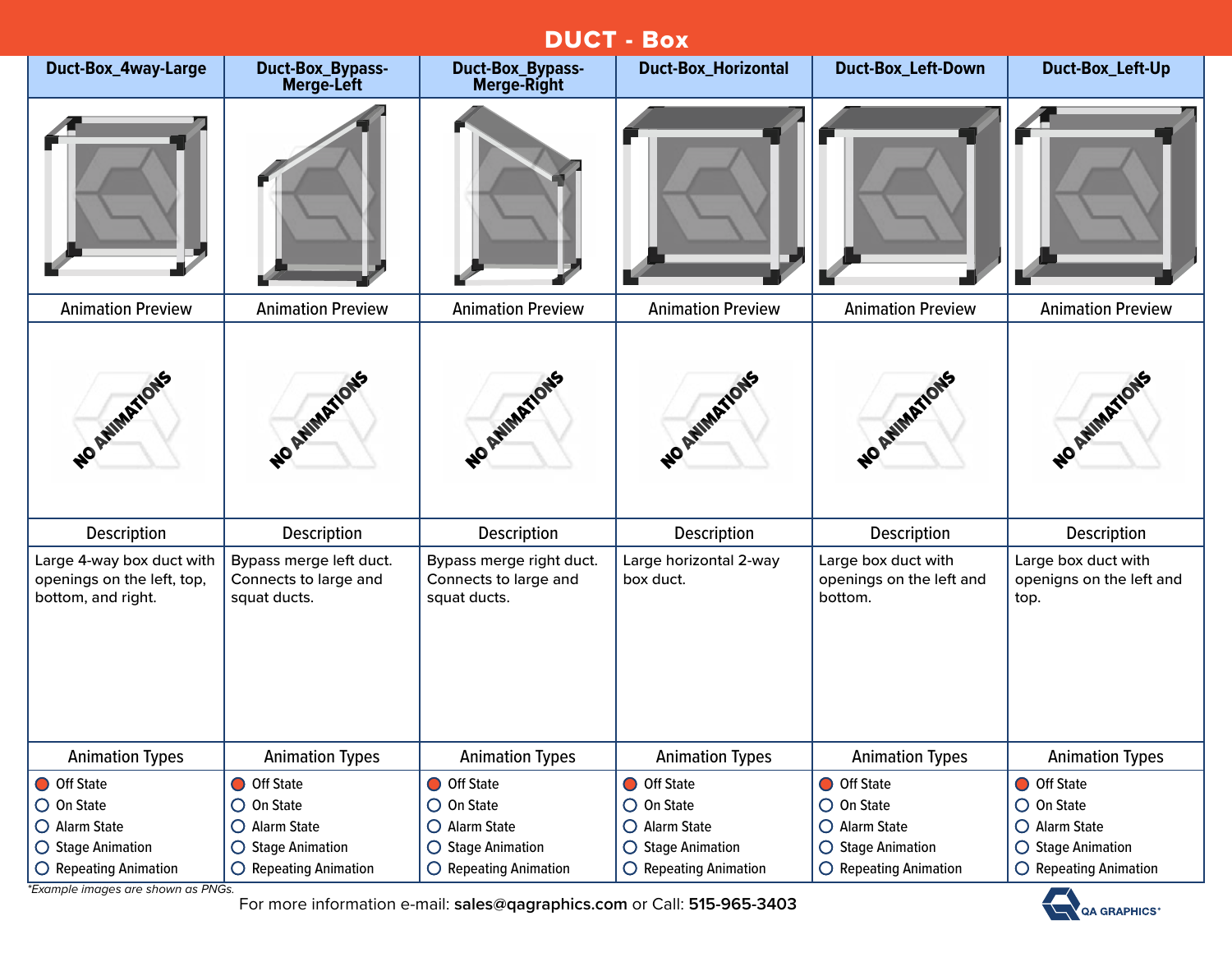|                                                                               |                                                                  |                                                                   | DUCI - DOX                          |                                                            |                                                         |
|-------------------------------------------------------------------------------|------------------------------------------------------------------|-------------------------------------------------------------------|-------------------------------------|------------------------------------------------------------|---------------------------------------------------------|
| Duct-Box_4way-Large                                                           | <b>Duct-Box_Bypass-</b><br><b>Merge-Left</b>                     | <b>Duct-Box_Bypass-</b><br>Merge-Right                            | <b>Duct-Box_Horizontal</b>          | <b>Duct-Box_Left-Down</b>                                  | Duct-Box_Left-Up                                        |
|                                                                               |                                                                  |                                                                   |                                     |                                                            |                                                         |
| <b>Animation Preview</b>                                                      | <b>Animation Preview</b>                                         | <b>Animation Preview</b>                                          | <b>Animation Preview</b>            | <b>Animation Preview</b>                                   | <b>Animation Preview</b>                                |
| NO ANIMATIONS                                                                 | NO AVIMATIONS                                                    | NO AVIMATIONS                                                     | NO AMIMATIONS                       | NO AWMATIONS                                               | NO AVIMATIONS                                           |
| Description                                                                   | <b>Description</b>                                               | <b>Description</b>                                                | Description                         | <b>Description</b>                                         | <b>Description</b>                                      |
| Large 4-way box duct with<br>openings on the left, top,<br>bottom, and right. | Bypass merge left duct.<br>Connects to large and<br>squat ducts. | Bypass merge right duct.<br>Connects to large and<br>squat ducts. | Large horizontal 2-way<br>box duct. | Large box duct with<br>openings on the left and<br>bottom. | Large box duct with<br>openigns on the left and<br>top. |
| <b>Animation Types</b>                                                        | <b>Animation Types</b>                                           | <b>Animation Types</b>                                            | <b>Animation Types</b>              | <b>Animation Types</b>                                     | <b>Animation Types</b>                                  |
| O Off State                                                                   | O Off State                                                      | O Off State                                                       | O Off State                         | O Off State                                                | O Off State                                             |
| $\bigcirc$ On State                                                           | $\bigcirc$ On State                                              | $\bigcirc$ On State                                               | $\bigcirc$ On State                 | $\bigcirc$ On State                                        | $\bigcirc$ On State                                     |
| O Alarm State                                                                 | O Alarm State                                                    | $O$ Alarm State                                                   | O Alarm State                       | $\bigcirc$ Alarm State                                     | O Alarm State                                           |
| ○ Stage Animation                                                             | $\bigcirc$ Stage Animation                                       | $\bigcirc$ Stage Animation                                        | ○ Stage Animation                   | $\bigcirc$ Stage Animation                                 | ◯ Stage Animation                                       |
| $\bigcirc$ Repeating Animation                                                | O Repeating Animation                                            | $\bigcirc$ Repeating Animation                                    | $\bigcirc$ Repeating Animation      | $\bigcirc$ Repeating Animation                             | $\bigcirc$ Repeating Animation                          |

**DUCT** 

*\*Example images are shown as PNGs.*

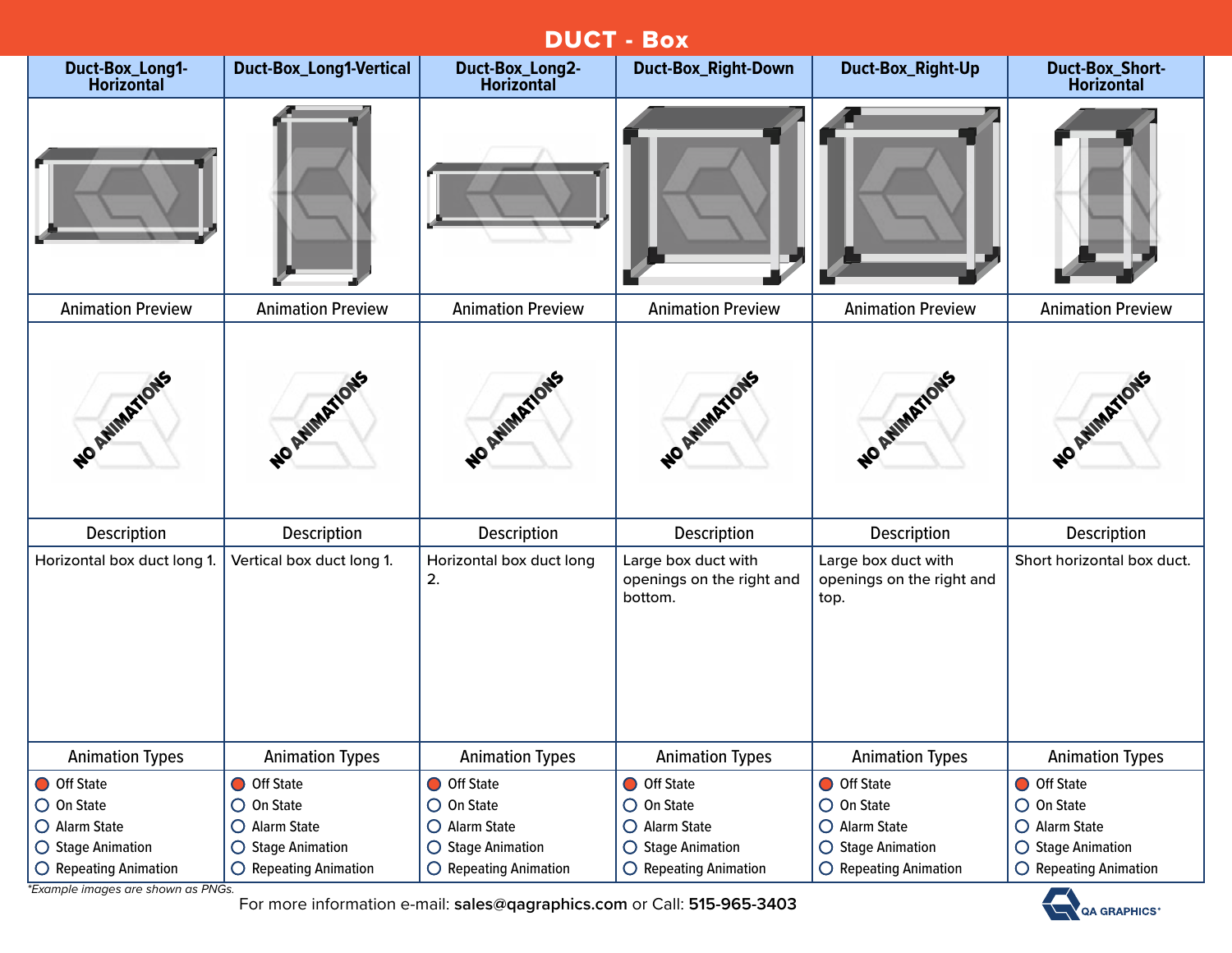| <b>DUCT - Box</b>                    |                                |                                      |                                                             |                                                          |                                             |  |  |
|--------------------------------------|--------------------------------|--------------------------------------|-------------------------------------------------------------|----------------------------------------------------------|---------------------------------------------|--|--|
| Duct-Box_Long1-<br><b>Horizontal</b> | <b>Duct-Box_Long1-Vertical</b> | Duct-Box_Long2-<br><b>Horizontal</b> | <b>Duct-Box_Right-Down</b>                                  | Duct-Box_Right-Up                                        | <b>Duct-Box_Short-</b><br><b>Horizontal</b> |  |  |
|                                      |                                |                                      |                                                             |                                                          |                                             |  |  |
| <b>Animation Preview</b>             | <b>Animation Preview</b>       | <b>Animation Preview</b>             | <b>Animation Preview</b>                                    | <b>Animation Preview</b>                                 | <b>Animation Preview</b>                    |  |  |
| NO AMMARIONS                         | NO AVIMATIONS                  | WO AMMARTIONS                        | NO AVIMATIONS                                               | NO AVIMATIONS                                            | NO AVIMATIONS                               |  |  |
| Description                          | Description                    | Description                          | Description                                                 | Description                                              | Description                                 |  |  |
| Horizontal box duct long 1.          | Vertical box duct long 1.      | Horizontal box duct long<br>2.       | Large box duct with<br>openings on the right and<br>bottom. | Large box duct with<br>openings on the right and<br>top. | Short horizontal box duct.                  |  |  |
| <b>Animation Types</b>               | <b>Animation Types</b>         | <b>Animation Types</b>               | <b>Animation Types</b>                                      | <b>Animation Types</b>                                   | <b>Animation Types</b>                      |  |  |
| O Off State                          | O Off State                    | O Off State                          | O Off State                                                 | O Off State                                              | O Off State                                 |  |  |
| $\bigcirc$ On State                  | $\bigcirc$ On State            | $\bigcirc$ On State                  | $\bigcirc$ On State                                         | $\bigcirc$ On State                                      | $\bigcirc$ On State                         |  |  |
| O Alarm State                        | O Alarm State                  | O Alarm State                        | O Alarm State                                               | O Alarm State                                            | O Alarm State                               |  |  |
| ○ Stage Animation                    | $\bigcirc$ Stage Animation     | $\bigcirc$ Stage Animation           | ○ Stage Animation                                           | ○ Stage Animation                                        | ○ Stage Animation                           |  |  |
| $\bigcirc$ Repeating Animation       | $\bigcirc$ Repeating Animation | $\bigcirc$ Repeating Animation       | $\bigcirc$ Repeating Animation                              | $\bigcirc$ Repeating Animation                           | O Repeating Animation                       |  |  |

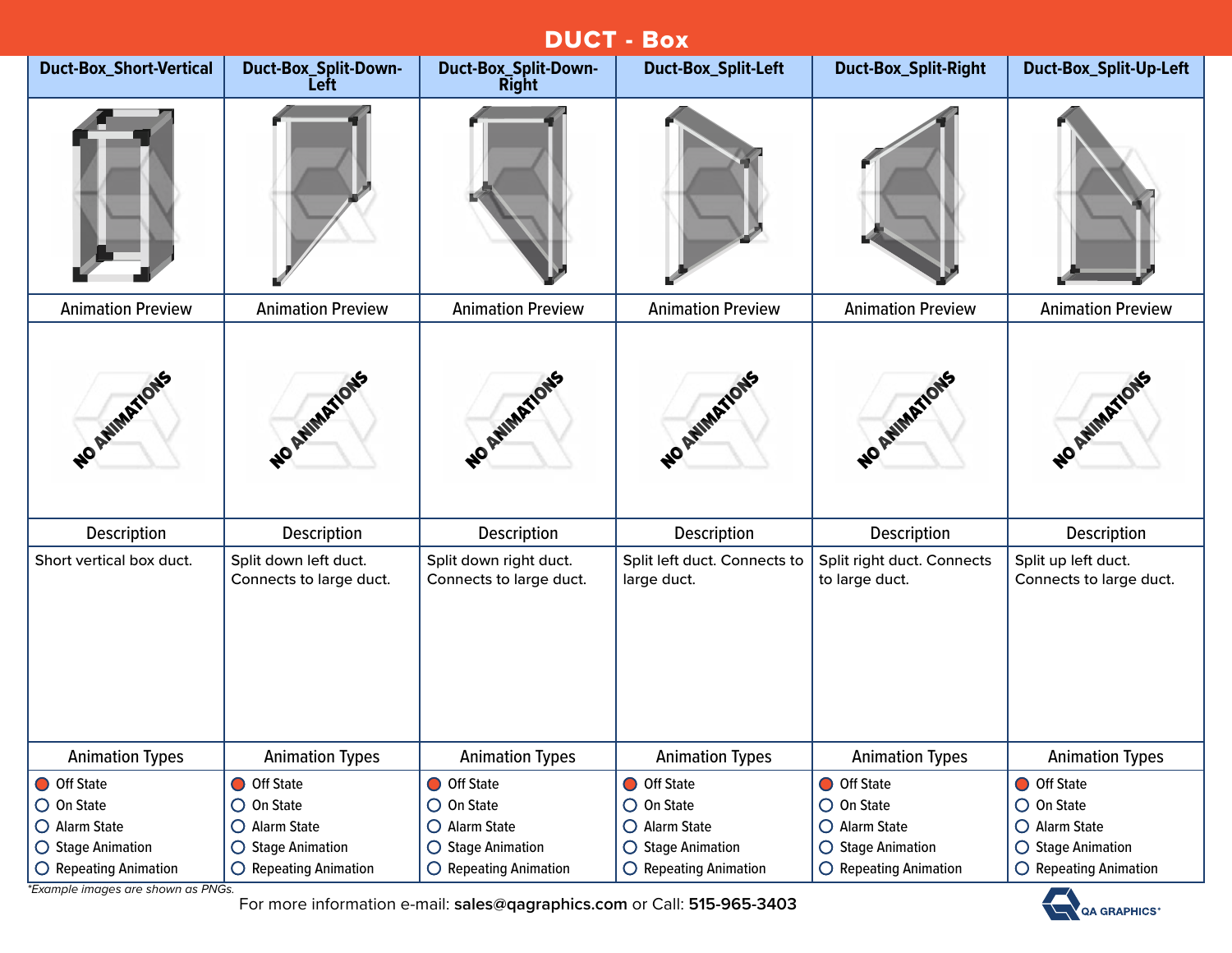| <b>DUCT - Box</b>              |                                                  |                                                   |                                             |                                              |                                                |  |  |
|--------------------------------|--------------------------------------------------|---------------------------------------------------|---------------------------------------------|----------------------------------------------|------------------------------------------------|--|--|
| <b>Duct-Box_Short-Vertical</b> | Duct-Box_Split-Down-<br>Left                     | Duct-Box_Split-Down-<br><b>Right</b>              | <b>Duct-Box_Split-Left</b>                  | <b>Duct-Box_Split-Right</b>                  | Duct-Box_Split-Up-Left                         |  |  |
|                                |                                                  |                                                   |                                             |                                              |                                                |  |  |
| <b>Animation Preview</b>       | <b>Animation Preview</b>                         | <b>Animation Preview</b>                          | <b>Animation Preview</b>                    | <b>Animation Preview</b>                     | <b>Animation Preview</b>                       |  |  |
| NO AVIMATIONS                  | WO AMMARIONS                                     | NO ATIMITIONS                                     | WO REVIEWFORS                               | NO REIMARTIONS                               | NO AVIMATIONS                                  |  |  |
| Description                    | Description                                      | Description                                       | <b>Description</b>                          | Description                                  | Description                                    |  |  |
| Short vertical box duct.       | Split down left duct.<br>Connects to large duct. | Split down right duct.<br>Connects to large duct. | Split left duct. Connects to<br>large duct. | Split right duct. Connects<br>to large duct. | Split up left duct.<br>Connects to large duct. |  |  |
| <b>Animation Types</b>         | <b>Animation Types</b>                           | <b>Animation Types</b>                            | <b>Animation Types</b>                      | <b>Animation Types</b>                       | <b>Animation Types</b>                         |  |  |
| O Off State                    | O Off State                                      | O Off State                                       | O Off State                                 | O Off State                                  | O Off State                                    |  |  |
| $\bigcirc$ On State            | $\bigcirc$ On State                              | $\bigcirc$ On State                               | $O$ On State                                | $\bigcirc$ On State                          | $\bigcirc$ On State                            |  |  |
| O Alarm State                  | O Alarm State                                    | O Alarm State                                     | O Alarm State                               | O Alarm State                                | O Alarm State                                  |  |  |
| ○ Stage Animation              | ○ Stage Animation                                | $\bigcirc$ Stage Animation                        | ○ Stage Animation                           | ○ Stage Animation                            | ○ Stage Animation                              |  |  |
| $\bigcirc$ Repeating Animation | $\bigcirc$ Repeating Animation                   | $\bigcirc$ Repeating Animation                    | $\bigcirc$ Repeating Animation              | O Repeating Animation                        | $\bigcirc$ Repeating Animation                 |  |  |

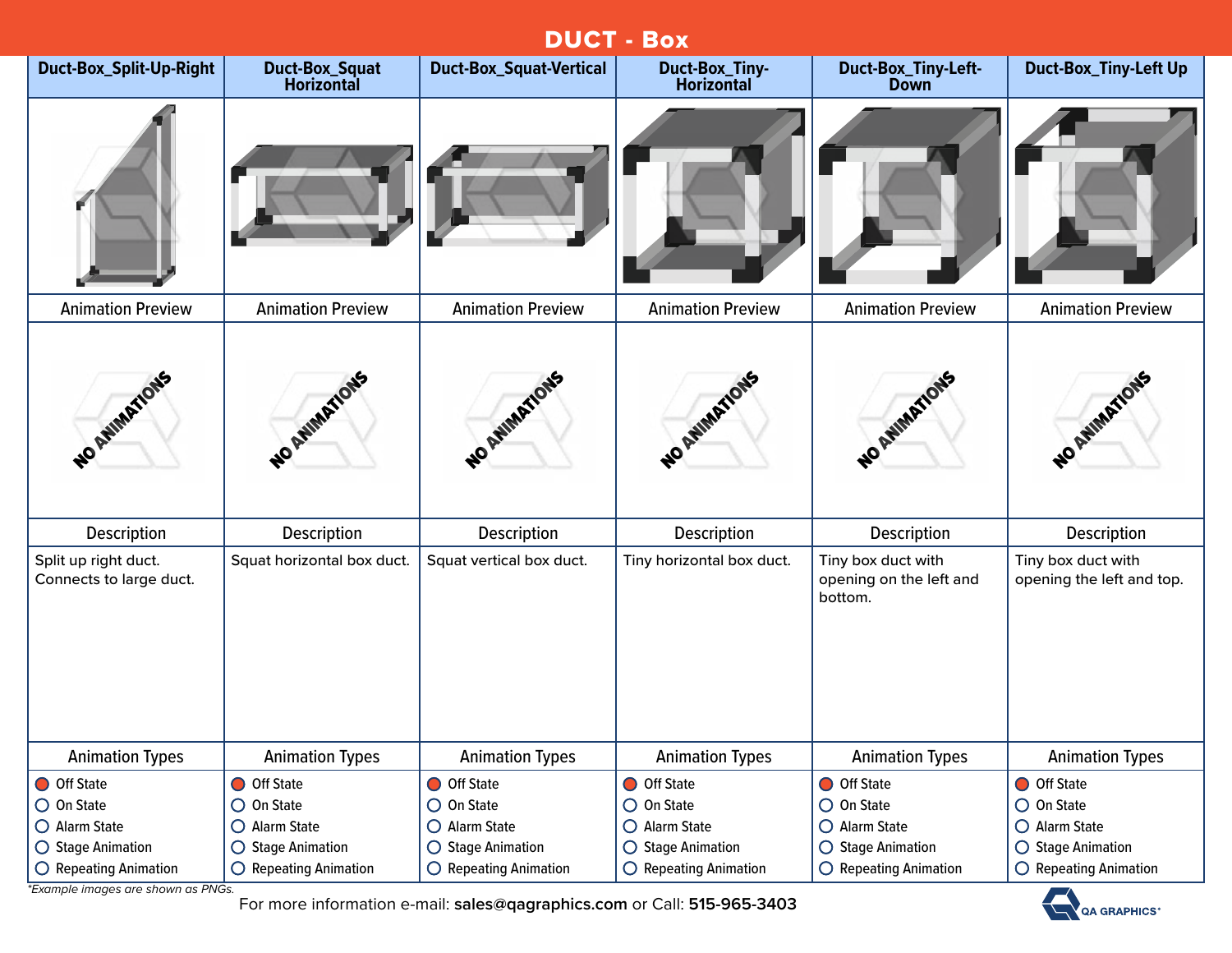| <b>DUCT - Box</b>                               |                                            |                                |                                            |                                                          |                                                 |  |  |
|-------------------------------------------------|--------------------------------------------|--------------------------------|--------------------------------------------|----------------------------------------------------------|-------------------------------------------------|--|--|
| Duct-Box_Split-Up-Right                         | <b>Duct-Box_Squat</b><br><b>Horizontal</b> | <b>Duct-Box_Squat-Vertical</b> | <b>Duct-Box_Tiny-</b><br><b>Horizontal</b> | Duct-Box_Tiny-Left-<br><b>Down</b>                       | <b>Duct-Box_Tiny-Left Up</b>                    |  |  |
|                                                 |                                            |                                |                                            |                                                          |                                                 |  |  |
| <b>Animation Preview</b>                        | <b>Animation Preview</b>                   | <b>Animation Preview</b>       | <b>Animation Preview</b>                   | <b>Animation Preview</b>                                 | <b>Animation Preview</b>                        |  |  |
| NO AMMARIONS                                    | NO AVIMATIONS                              | NO AVIMATIONS                  | WO AWAINTIONS                              | NO ATMARTIONS                                            | NO ANIMATIONS                                   |  |  |
| Description                                     | Description                                | Description                    | Description                                | Description                                              | <b>Description</b>                              |  |  |
| Split up right duct.<br>Connects to large duct. | Squat horizontal box duct.                 | Squat vertical box duct.       | Tiny horizontal box duct.                  | Tiny box duct with<br>opening on the left and<br>bottom. | Tiny box duct with<br>opening the left and top. |  |  |
| <b>Animation Types</b>                          | <b>Animation Types</b>                     | <b>Animation Types</b>         | <b>Animation Types</b>                     | <b>Animation Types</b>                                   | <b>Animation Types</b>                          |  |  |
| O Off State                                     | O Off State                                | O Off State                    | O Off State                                | O Off State                                              | O Off State                                     |  |  |
| $\bigcirc$ On State                             | $\bigcirc$ On State                        | $\bigcirc$ On State            | $O$ On State                               | $\bigcirc$ On State                                      | $\bigcirc$ On State                             |  |  |
| O Alarm State                                   | O Alarm State                              | O Alarm State                  | O Alarm State                              | O Alarm State                                            | O Alarm State                                   |  |  |
| ○ Stage Animation                               | ○ Stage Animation                          | $\bigcirc$ Stage Animation     | $\bigcirc$ Stage Animation                 | ○ Stage Animation                                        | ○ Stage Animation                               |  |  |
| O Repeating Animation                           | O Repeating Animation                      | O Repeating Animation          | $\bigcirc$ Repeating Animation             | $\bigcirc$ Repeating Animation                           | O Repeating Animation                           |  |  |

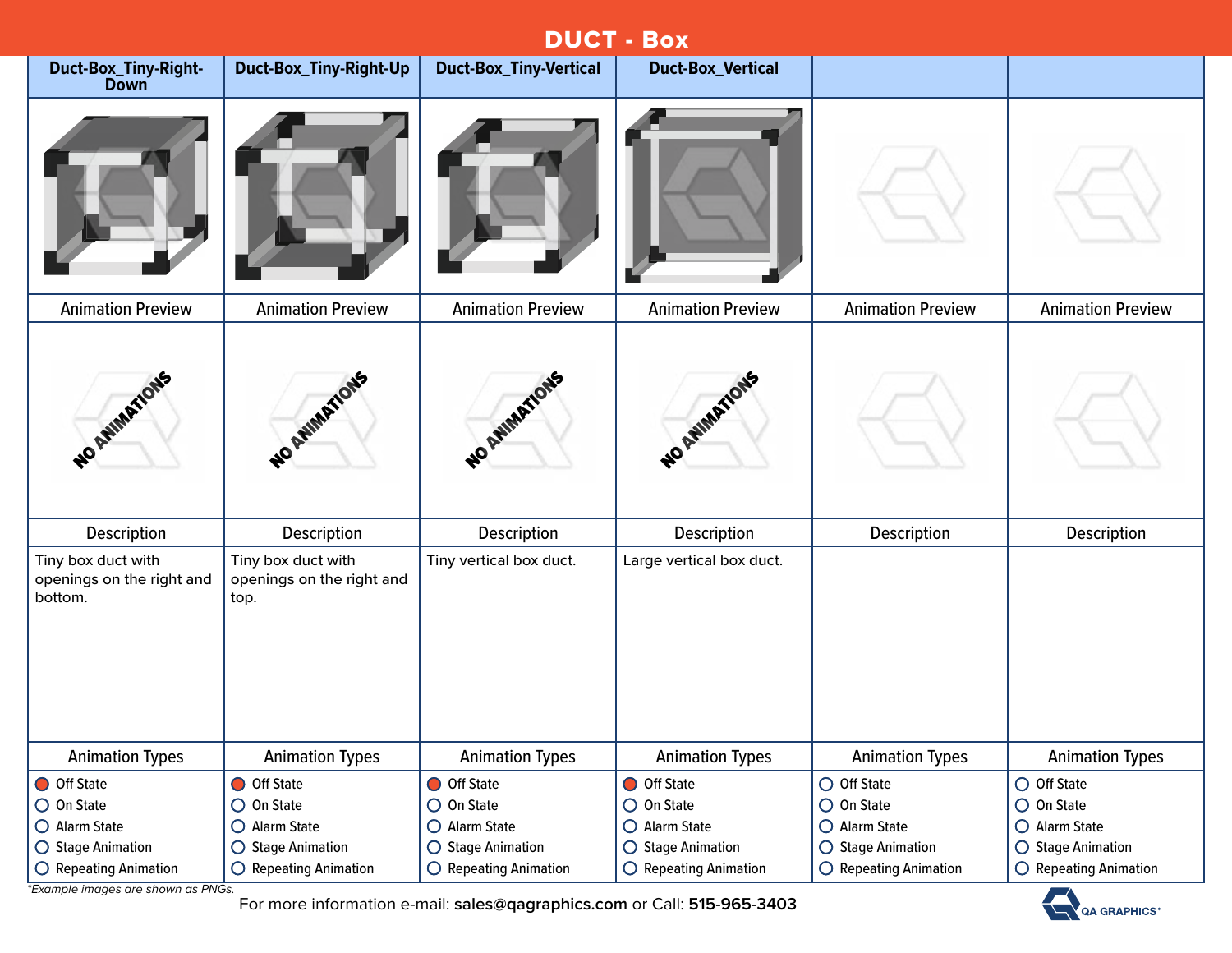|                                                            | <b>DUCT - Box</b>                                       |                                |                                |                            |                                      |  |  |
|------------------------------------------------------------|---------------------------------------------------------|--------------------------------|--------------------------------|----------------------------|--------------------------------------|--|--|
| Duct-Box_Tiny-Right-<br><b>Down</b>                        | Duct-Box_Tiny-Right-Up                                  | <b>Duct-Box_Tiny-Vertical</b>  | <b>Duct-Box_Vertical</b>       |                            |                                      |  |  |
|                                                            |                                                         |                                |                                |                            |                                      |  |  |
| <b>Animation Preview</b>                                   | <b>Animation Preview</b>                                | <b>Animation Preview</b>       | <b>Animation Preview</b>       | <b>Animation Preview</b>   | <b>Animation Preview</b>             |  |  |
| NO AVIMATIONS                                              | NO AMMARIONS                                            | NO ATIMATIONS                  | NO AVIMATIONS                  |                            |                                      |  |  |
| Description                                                | <b>Description</b>                                      | Description                    | Description                    | Description                | Description                          |  |  |
| Tiny box duct with<br>openings on the right and<br>bottom. | Tiny box duct with<br>openings on the right and<br>top. | Tiny vertical box duct.        | Large vertical box duct.       |                            |                                      |  |  |
| <b>Animation Types</b>                                     | <b>Animation Types</b>                                  | <b>Animation Types</b>         | <b>Animation Types</b>         | <b>Animation Types</b>     | <b>Animation Types</b>               |  |  |
| O Off State                                                | O Off State                                             | O Off State                    | O Off State                    | $O$ Off State              | $\bigcirc$ Off State                 |  |  |
| $\bigcirc$ On State                                        | $\bigcirc$ On State                                     | $\bigcirc$ On State            | $\bigcirc$ On State            | $\bigcirc$ On State        | $\bigcirc$ On State                  |  |  |
| O Alarm State                                              | O Alarm State                                           | O Alarm State                  | O Alarm State                  | O Alarm State              | O Alarm State                        |  |  |
| ○ Stage Animation                                          | ○ Stage Animation                                       | $\bigcirc$ Stage Animation     | $\bigcirc$ Stage Animation     | $\bigcirc$ Stage Animation | <b>Stage Animation</b><br>$\bigcirc$ |  |  |
| $\bigcirc$ Repeating Animation                             | O Repeating Animation                                   | $\bigcirc$ Repeating Animation | $\bigcirc$ Repeating Animation | O Repeating Animation      | $\bigcirc$ Repeating Animation       |  |  |

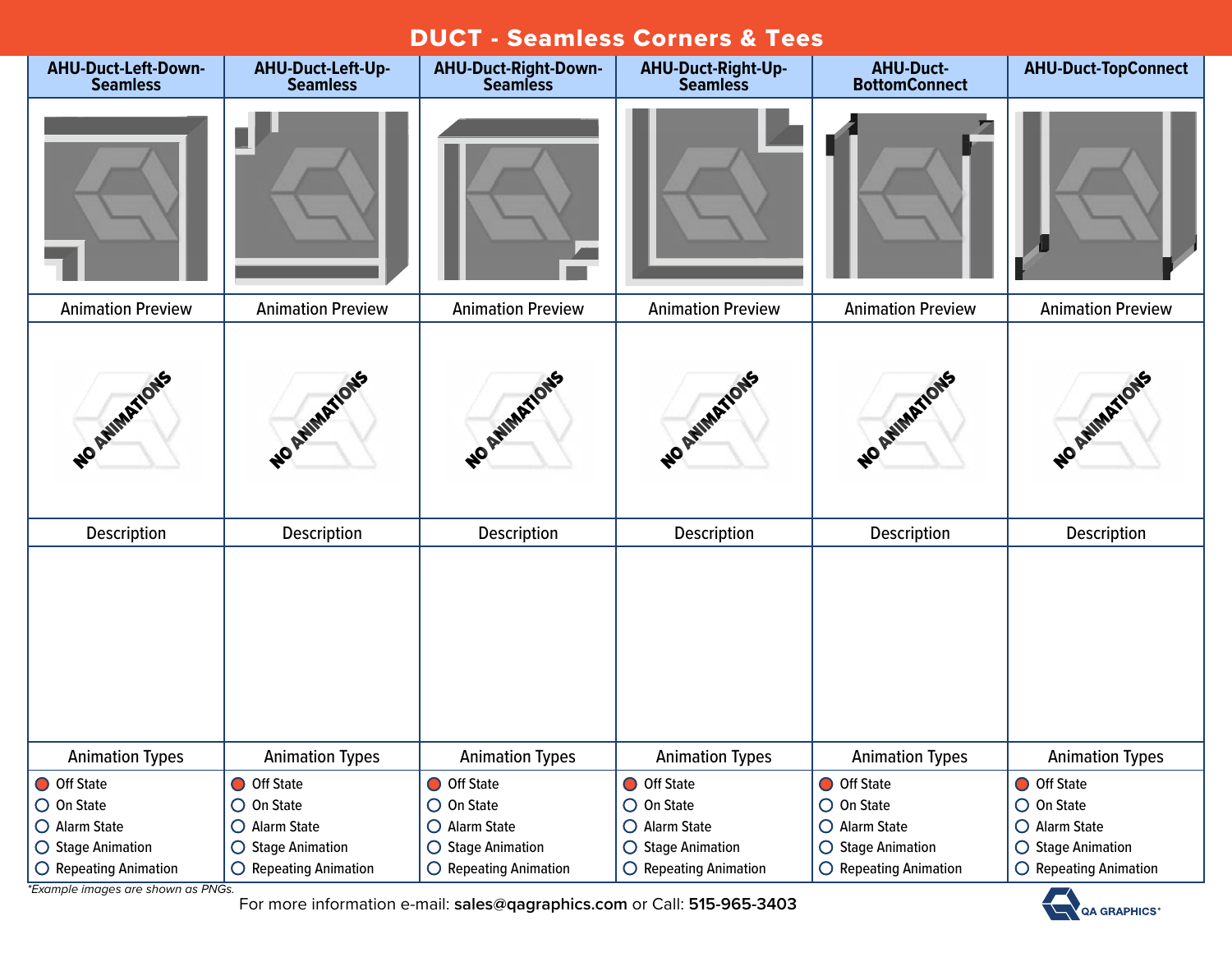#### DUCT - Seamless Corners & Tees

| <b>AHU-Duct-Left-Down-</b><br><b>Seamless</b> | AHU-Duct-Left-Up-<br><b>Seamless</b> | <b>AHU-Duct-Right-Down-</b><br><b>Seamless</b> | AHU-Duct-Right-Up-<br><b>Seamless</b> | <b>AHU-Duct-</b><br><b>BottomConnect</b> | <b>AHU-Duct-TopConnect</b>     |
|-----------------------------------------------|--------------------------------------|------------------------------------------------|---------------------------------------|------------------------------------------|--------------------------------|
|                                               |                                      |                                                |                                       |                                          |                                |
| <b>Animation Preview</b>                      | <b>Animation Preview</b>             | <b>Animation Preview</b>                       | <b>Animation Preview</b>              | <b>Animation Preview</b>                 | <b>Animation Preview</b>       |
| NO AVIMATIONS                                 | NO AVIMATIONS                        | NO AVIMATIONS                                  | NO AVIMATIONS                         | NO AVIMATIONS                            | NO AVIMATIONS                  |
| Description                                   | Description                          | Description                                    | Description                           | Description                              | Description                    |
|                                               |                                      |                                                |                                       |                                          |                                |
| <b>Animation Types</b>                        | <b>Animation Types</b>               | <b>Animation Types</b>                         | <b>Animation Types</b>                | <b>Animation Types</b>                   | <b>Animation Types</b>         |
| O Off State                                   | O Off State                          | O Off State                                    | O Off State                           | O Off State                              | O Off State                    |
| $\bigcirc$ On State                           | $\bigcirc$ On State                  | $\bigcirc$ On State                            | $\bigcirc$ On State                   | $\bigcirc$ On State                      | $\bigcirc$ On State            |
| O Alarm State                                 | O Alarm State                        | O Alarm State                                  | O Alarm State                         | O Alarm State                            | O Alarm State                  |
| ○ Stage Animation                             | ○ Stage Animation                    | ○ Stage Animation                              | ○ Stage Animation                     | ○ Stage Animation                        | ○ Stage Animation              |
| O Repeating Animation                         | $\bigcirc$ Repeating Animation       | $\bigcirc$ Repeating Animation                 | $\bigcirc$ Repeating Animation        | $\bigcirc$ Repeating Animation           | $\bigcirc$ Repeating Animation |

*\*Example images are shown as PNGs.*

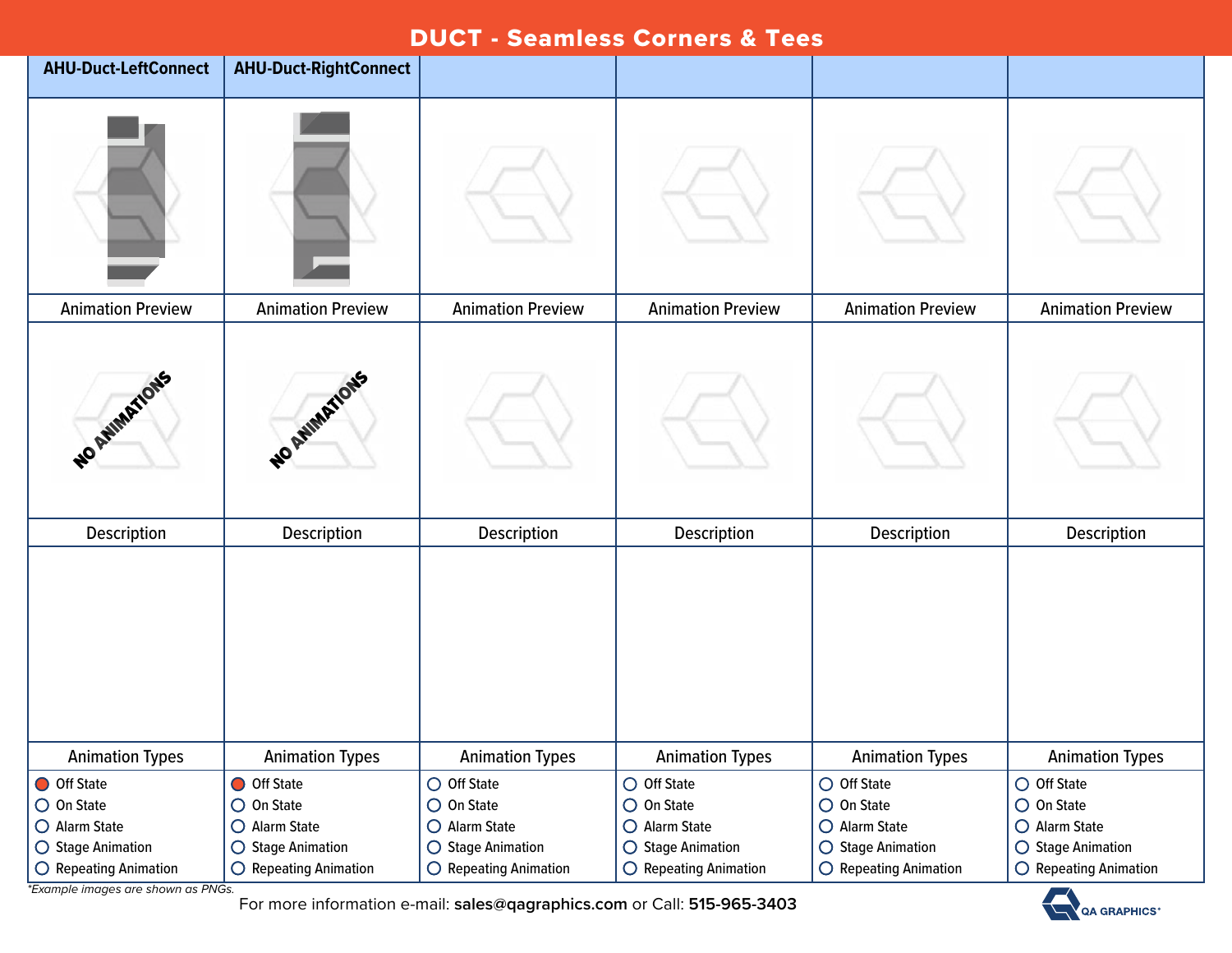## DUCT - Seamless Corners & Tees

| <b>AHU-Duct-LeftConnect</b>                                              | <b>AHU-Duct-RightConnect</b>                                             |                                                                                   |                                                                                            |                                                                                   |                                                                                   |
|--------------------------------------------------------------------------|--------------------------------------------------------------------------|-----------------------------------------------------------------------------------|--------------------------------------------------------------------------------------------|-----------------------------------------------------------------------------------|-----------------------------------------------------------------------------------|
|                                                                          |                                                                          |                                                                                   |                                                                                            |                                                                                   |                                                                                   |
| <b>Animation Preview</b>                                                 | <b>Animation Preview</b>                                                 | <b>Animation Preview</b>                                                          | <b>Animation Preview</b>                                                                   | <b>Animation Preview</b>                                                          | <b>Animation Preview</b>                                                          |
| NO RAIMATIONS                                                            | NO AVIMATIONS                                                            |                                                                                   |                                                                                            |                                                                                   |                                                                                   |
| Description                                                              | Description                                                              | Description                                                                       | Description                                                                                | Description                                                                       | Description                                                                       |
|                                                                          |                                                                          |                                                                                   |                                                                                            |                                                                                   |                                                                                   |
| <b>Animation Types</b>                                                   | <b>Animation Types</b>                                                   | <b>Animation Types</b>                                                            | <b>Animation Types</b>                                                                     | <b>Animation Types</b>                                                            | <b>Animation Types</b>                                                            |
| O Off State<br>$\bigcirc$ On State<br>O Alarm State<br>○ Stage Animation | O Off State<br>$\bigcirc$ On State<br>O Alarm State<br>○ Stage Animation | $\bigcirc$ Off State<br>$\bigcirc$ On State<br>O Alarm State<br>○ Stage Animation | $\bigcirc$ Off State<br>$\bigcirc$ On State<br>O Alarm State<br>$\bigcirc$ Stage Animation | $\bigcirc$ Off State<br>$\bigcirc$ On State<br>O Alarm State<br>○ Stage Animation | $\bigcirc$ Off State<br>$\bigcirc$ On State<br>O Alarm State<br>○ Stage Animation |
| $\bigcirc$ Repeating Animation                                           | $\bigcirc$ Repeating Animation                                           | O Repeating Animation                                                             | $\bigcirc$ Repeating Animation                                                             | O Repeating Animation                                                             | $\bigcirc$ Repeating Animation                                                    |

*\*Example images are shown as PNGs.*

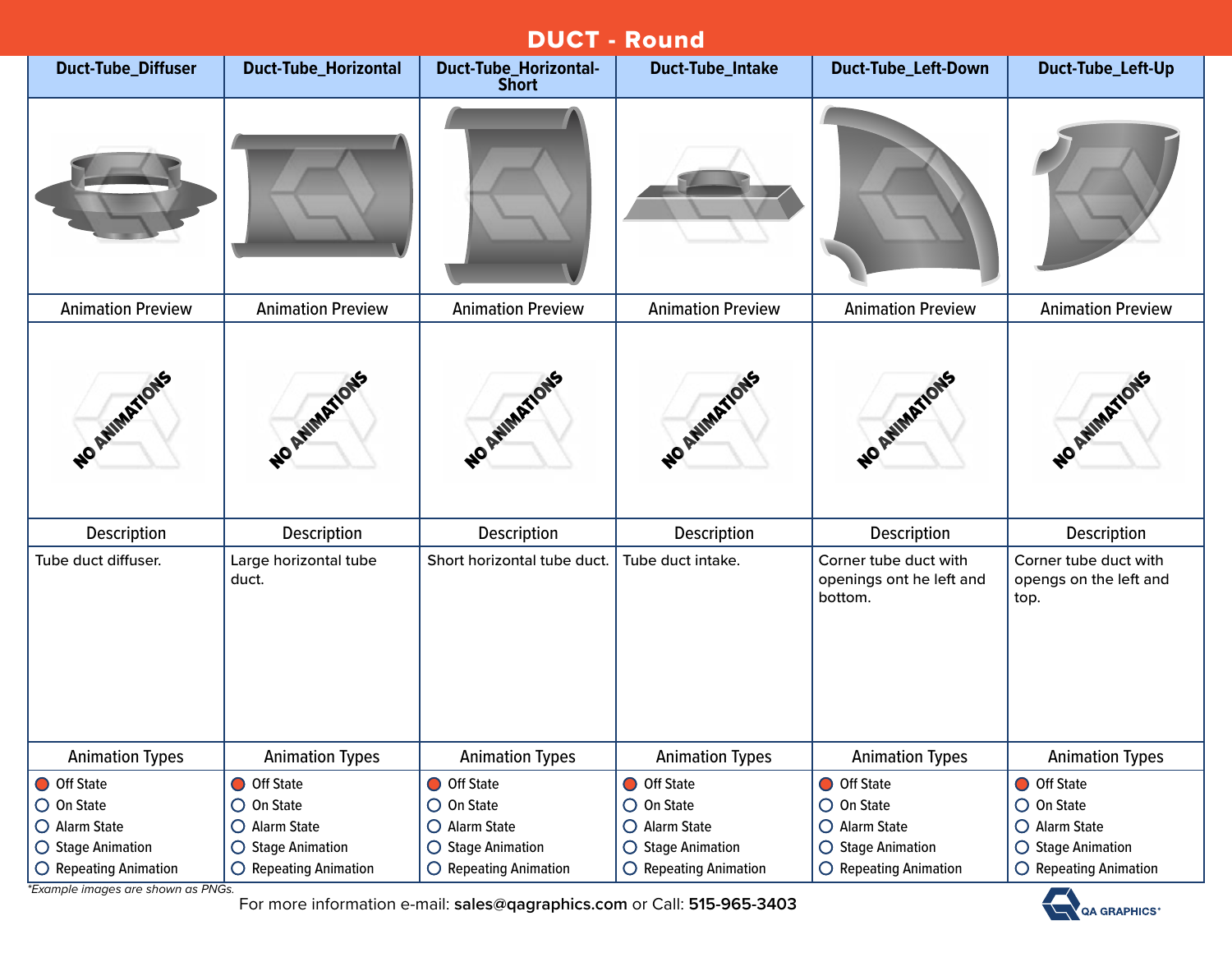|                                | <b>DUCT - Round</b>            |                                              |                                |                                                              |                                                         |  |  |
|--------------------------------|--------------------------------|----------------------------------------------|--------------------------------|--------------------------------------------------------------|---------------------------------------------------------|--|--|
| <b>Duct-Tube_Diffuser</b>      | <b>Duct-Tube_Horizontal</b>    | <b>Duct-Tube_Horizontal-</b><br><b>Short</b> | <b>Duct-Tube_Intake</b>        | <b>Duct-Tube_Left-Down</b>                                   | Duct-Tube_Left-Up                                       |  |  |
|                                |                                |                                              |                                |                                                              |                                                         |  |  |
| <b>Animation Preview</b>       | <b>Animation Preview</b>       | <b>Animation Preview</b>                     | <b>Animation Preview</b>       | <b>Animation Preview</b>                                     | <b>Animation Preview</b>                                |  |  |
| NO AVIMATIONS                  | NO ANIMATIONS                  | NO AMIMATIONS                                | NO AVIMATIONS                  | NO AMIMATIONS                                                | NO ANIMATIONS                                           |  |  |
| Description                    | Description                    | Description                                  | <b>Description</b>             | Description                                                  | Description                                             |  |  |
| Tube duct diffuser.            | Large horizontal tube<br>duct. | Short horizontal tube duct.                  | Tube duct intake.              | Corner tube duct with<br>openings ont he left and<br>bottom. | Corner tube duct with<br>opengs on the left and<br>top. |  |  |
| <b>Animation Types</b>         | <b>Animation Types</b>         | <b>Animation Types</b>                       | <b>Animation Types</b>         | <b>Animation Types</b>                                       | <b>Animation Types</b>                                  |  |  |
| O Off State                    | O Off State                    | O Off State                                  | O Off State                    | O Off State                                                  | O Off State                                             |  |  |
| $\bigcirc$ On State            | $\bigcirc$ On State            | $\bigcirc$ On State                          | $\bigcirc$ On State            | $\bigcirc$ On State                                          | $\bigcirc$ On State                                     |  |  |
| O Alarm State                  | O Alarm State                  | O Alarm State                                | O Alarm State                  | O Alarm State                                                | O Alarm State                                           |  |  |
| $\bigcirc$ Stage Animation     | $\bigcirc$ Stage Animation     | $\bigcirc$ Stage Animation                   | $\bigcirc$ Stage Animation     | $\bigcirc$ Stage Animation                                   | $\bigcirc$ Stage Animation                              |  |  |
| $\bigcirc$ Repeating Animation | O Repeating Animation          | $\bigcirc$ Repeating Animation               | $\bigcirc$ Repeating Animation | $\bigcirc$ Repeating Animation                               | $\bigcirc$ Repeating Animation                          |  |  |

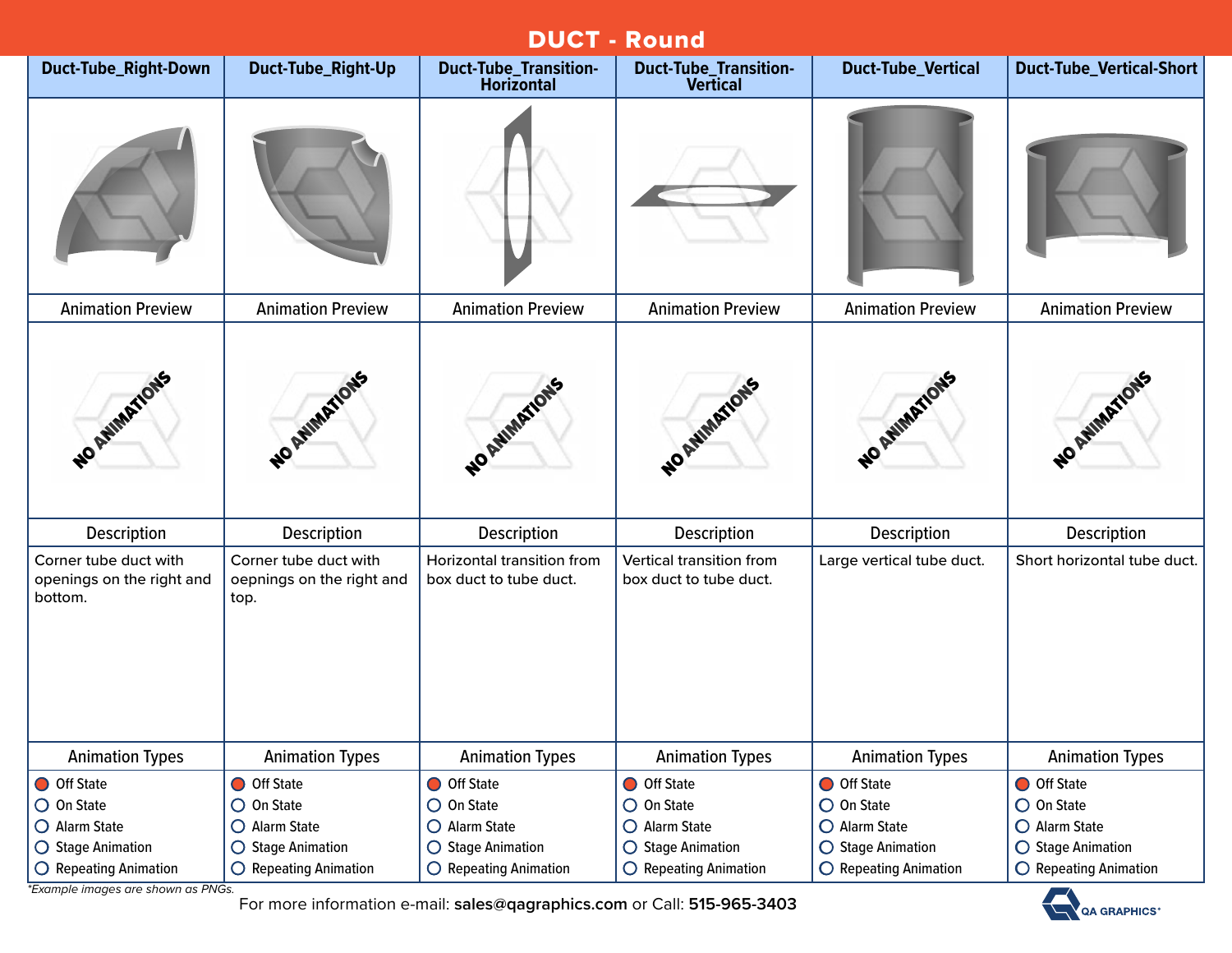| <b>DUCT - Round</b>                                                               |                                                                          |                                                                          |                                                                          |                                                                 |                                                                 |  |  |
|-----------------------------------------------------------------------------------|--------------------------------------------------------------------------|--------------------------------------------------------------------------|--------------------------------------------------------------------------|-----------------------------------------------------------------|-----------------------------------------------------------------|--|--|
| Duct-Tube_Right-Down                                                              | Duct-Tube_Right-Up                                                       | <b>Duct-Tube_Transition-</b><br><b>Horizontal</b>                        | <b>Duct-Tube_Transition-</b><br><b>Vertical</b>                          | <b>Duct-Tube_Vertical</b>                                       | Duct-Tube_Vertical-Short                                        |  |  |
|                                                                                   |                                                                          |                                                                          |                                                                          |                                                                 |                                                                 |  |  |
| <b>Animation Preview</b>                                                          | <b>Animation Preview</b>                                                 | <b>Animation Preview</b>                                                 | <b>Animation Preview</b>                                                 | <b>Animation Preview</b>                                        | <b>Animation Preview</b>                                        |  |  |
| WO ANIMATIONS                                                                     | NO AVIMATIONS                                                            | NO AMMATIONS                                                             | NO AVINATIONS                                                            | WO AWMATIONS                                                    | NO AVIMATIONS                                                   |  |  |
| Description                                                                       | Description                                                              | Description                                                              | Description                                                              | Description                                                     | Description                                                     |  |  |
| Corner tube duct with<br>openings on the right and<br>bottom.                     | Corner tube duct with<br>oepnings on the right and<br>top.               | Horizontal transition from<br>box duct to tube duct.                     | Vertical transition from<br>box duct to tube duct.                       | Large vertical tube duct.                                       | Short horizontal tube duct.                                     |  |  |
| <b>Animation Types</b>                                                            | <b>Animation Types</b>                                                   | <b>Animation Types</b>                                                   | <b>Animation Types</b>                                                   | <b>Animation Types</b>                                          | <b>Animation Types</b>                                          |  |  |
| O Off State<br>$\bigcirc$ On State<br>O Alarm State<br>$\bigcirc$ Stage Animation | O Off State<br>$\bigcirc$ On State<br>O Alarm State<br>○ Stage Animation | O Off State<br>$\bigcirc$ On State<br>O Alarm State<br>○ Stage Animation | O Off State<br>$\bigcirc$ On State<br>O Alarm State<br>○ Stage Animation | O Off State<br>O On State<br>O Alarm State<br>◯ Stage Animation | O Off State<br>O On State<br>O Alarm State<br>○ Stage Animation |  |  |
| $\bigcirc$ Repeating Animation                                                    | O Repeating Animation                                                    | O Repeating Animation                                                    | $\bigcirc$ Repeating Animation                                           | O Repeating Animation                                           | O Repeating Animation                                           |  |  |

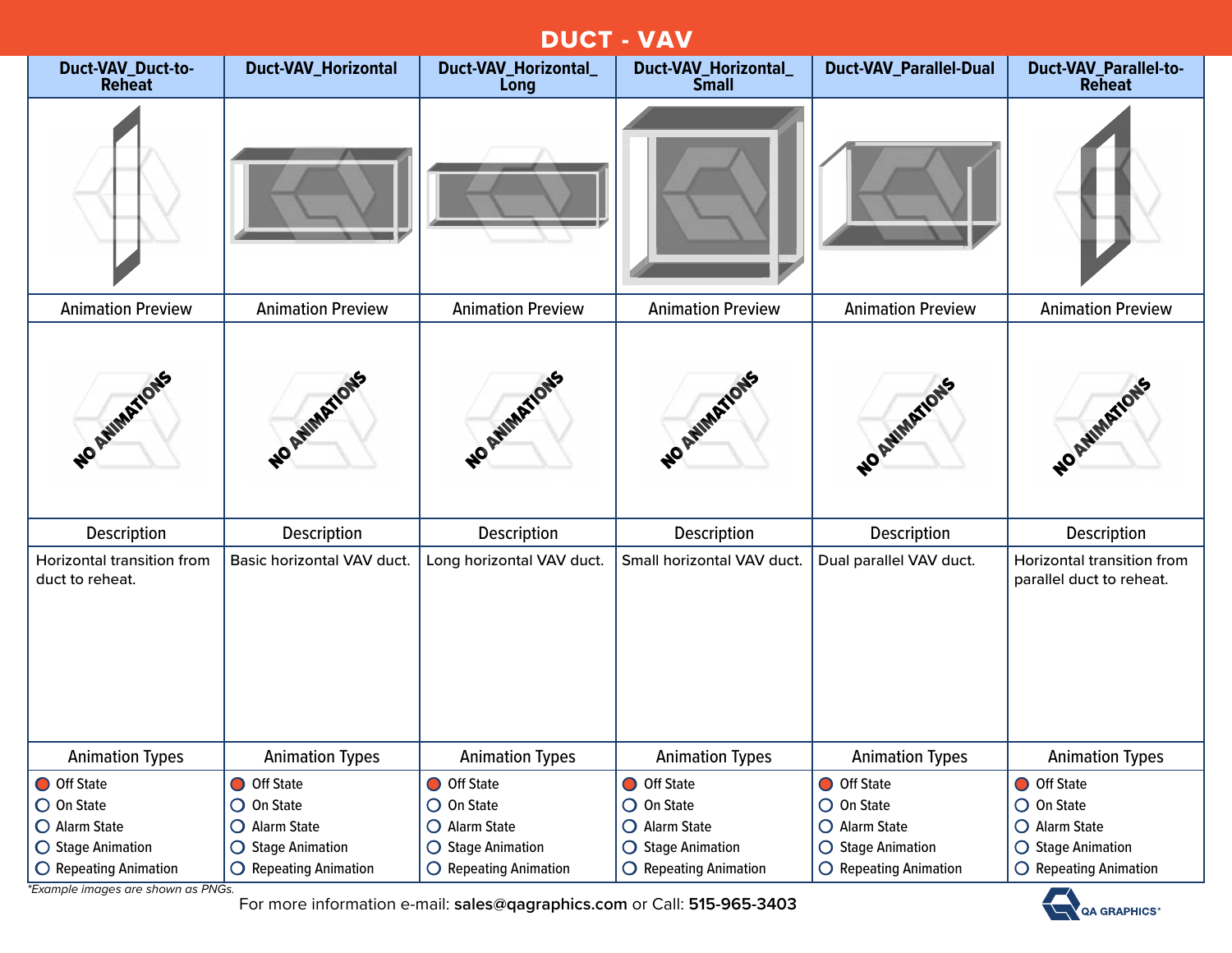## DUCT - VAV

| Duct-VAV_Duct-to-<br><b>Reheat</b>            | <b>Duct-VAV_Horizontal</b>     | Duct-VAV_Horizontal_<br>Long   | Duct-VAV_Horizontal_<br><b>Small</b> | <b>Duct-VAV_Parallel-Dual</b>  | <b>Duct-VAV_Parallel-to-</b><br><b>Reheat</b>          |
|-----------------------------------------------|--------------------------------|--------------------------------|--------------------------------------|--------------------------------|--------------------------------------------------------|
|                                               |                                |                                |                                      |                                |                                                        |
| <b>Animation Preview</b>                      | <b>Animation Preview</b>       | <b>Animation Preview</b>       | <b>Animation Preview</b>             | <b>Animation Preview</b>       | <b>Animation Preview</b>                               |
| NO AVIMATIONS                                 | NO ANIMATIONS                  | WO AWMARTIONS                  | NO AVIMATIONS                        | NO ANIMATIONS                  | NO AVIMATIONS                                          |
| Description                                   | Description                    | <b>Description</b>             | Description                          | Description                    | Description                                            |
| Horizontal transition from<br>duct to reheat. | Basic horizontal VAV duct.     | Long horizontal VAV duct.      | Small horizontal VAV duct.           | Dual parallel VAV duct.        | Horizontal transition from<br>parallel duct to reheat. |
| <b>Animation Types</b>                        | <b>Animation Types</b>         | <b>Animation Types</b>         | <b>Animation Types</b>               | <b>Animation Types</b>         | <b>Animation Types</b>                                 |
| O Off State                                   | O Off State                    | O Off State                    | O Off State                          | O Off State                    | O Off State                                            |
| O On State                                    | $\bigcirc$ On State            | $\bigcirc$ On State            | $\bigcirc$ On State                  | $\bigcirc$ On State            | $\bigcirc$ On State                                    |
| O Alarm State                                 | O Alarm State                  | O Alarm State                  | O Alarm State                        | O Alarm State                  | O Alarm State                                          |
| ◯ Stage Animation                             | ○ Stage Animation              | $\bigcirc$ Stage Animation     | ○ Stage Animation                    | ◯ Stage Animation              | $\bigcirc$ Stage Animation                             |
| O Repeating Animation                         | $\bigcirc$ Repeating Animation | $\bigcirc$ Repeating Animation | $\bigcirc$ Repeating Animation       | $\bigcirc$ Repeating Animation | $\bigcirc$ Repeating Animation                         |

*\*Example images are shown as PNGs.*

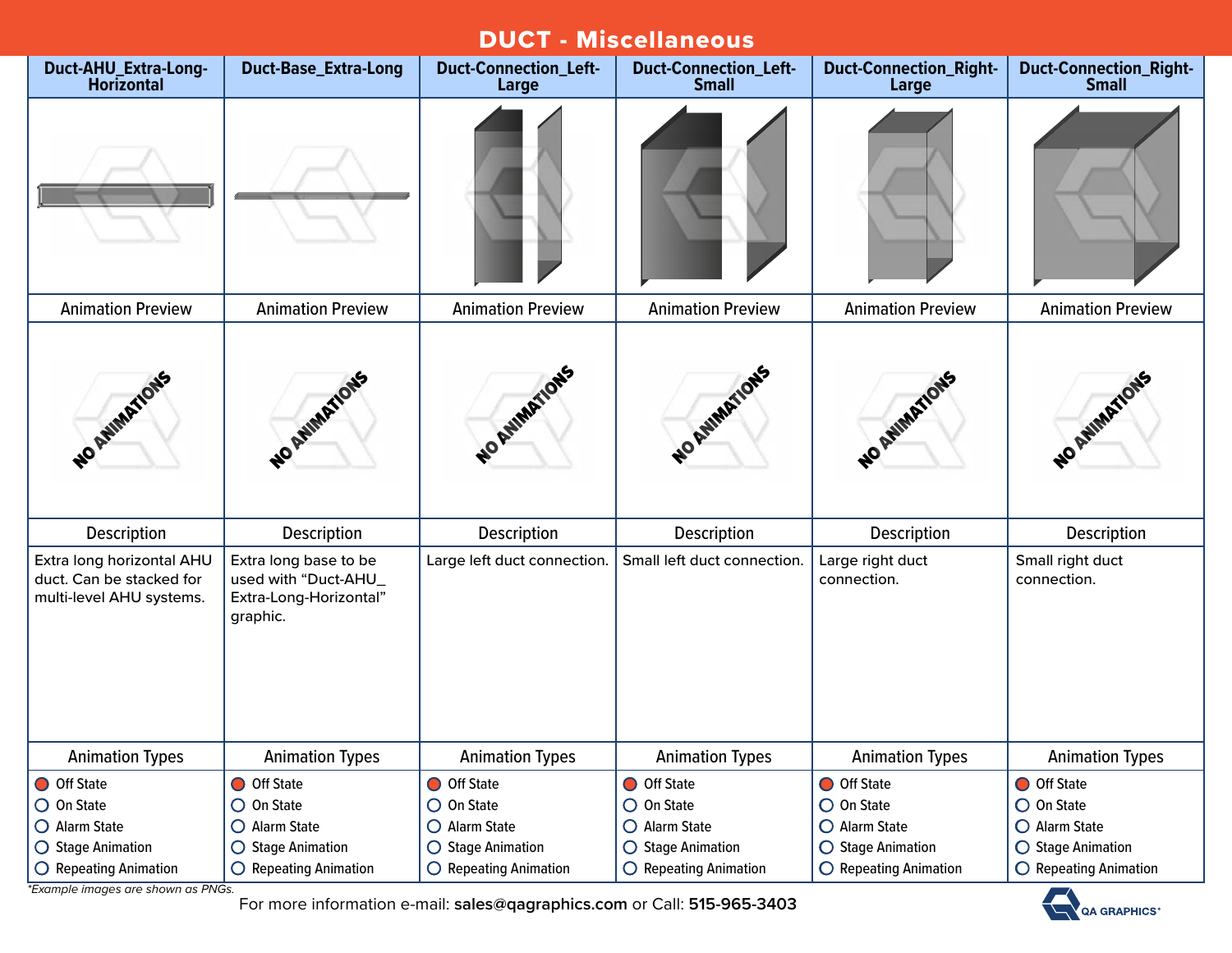| <b>DUCT - Miscellaneous</b>                                                       |                                                                                     |                                       |                                              |                                        |                                               |  |  |  |
|-----------------------------------------------------------------------------------|-------------------------------------------------------------------------------------|---------------------------------------|----------------------------------------------|----------------------------------------|-----------------------------------------------|--|--|--|
| <b>Duct-AHU_Extra-Long-</b><br><b>Horizontal</b>                                  | <b>Duct-Base_Extra-Long</b>                                                         | <b>Duct-Connection_Left-</b><br>Large | <b>Duct-Connection_Left-</b><br><b>Small</b> | <b>Duct-Connection_Right-</b><br>Large | <b>Duct-Connection_Right-</b><br><b>Small</b> |  |  |  |
|                                                                                   |                                                                                     |                                       |                                              |                                        |                                               |  |  |  |
| <b>Animation Preview</b>                                                          | <b>Animation Preview</b>                                                            | <b>Animation Preview</b>              | <b>Animation Preview</b>                     | <b>Animation Preview</b>               | <b>Animation Preview</b>                      |  |  |  |
| NO ANIMATIONS                                                                     | NO AVIMATIONS                                                                       | NO ANIMATIONS                         | NO AWMARTIONS                                | NO ANIMATIONS                          | NO ATIMATIONS                                 |  |  |  |
| <b>Description</b>                                                                | <b>Description</b>                                                                  | Description                           | <b>Description</b>                           | <b>Description</b>                     | <b>Description</b>                            |  |  |  |
| Extra long horizontal AHU<br>duct. Can be stacked for<br>multi-level AHU systems. | Extra long base to be<br>used with "Duct-AHU_<br>Extra-Long-Horizontal"<br>graphic. | Large left duct connection.           | Small left duct connection.                  | Large right duct<br>connection.        | Small right duct<br>connection.               |  |  |  |
| <b>Animation Types</b>                                                            | <b>Animation Types</b>                                                              | <b>Animation Types</b>                | <b>Animation Types</b>                       | <b>Animation Types</b>                 | <b>Animation Types</b>                        |  |  |  |
| O Off State                                                                       | O Off State                                                                         | O Off State                           | O Off State                                  | O Off State                            | O Off State                                   |  |  |  |
| $\bigcirc$ On State                                                               | $\bigcirc$ On State                                                                 | $\bigcirc$ On State                   | $\bigcirc$ On State                          | O On State                             | O On State                                    |  |  |  |
| O Alarm State                                                                     | $O$ Alarm State                                                                     | O Alarm State                         | O Alarm State                                | O Alarm State                          | O Alarm State                                 |  |  |  |
| ◯ Stage Animation                                                                 | ○ Stage Animation                                                                   | $\bigcirc$ Stage Animation            | ○ Stage Animation                            | ◯ Stage Animation                      | ○ Stage Animation                             |  |  |  |
| $\bigcirc$ Repeating Animation                                                    | $\bigcirc$ Repeating Animation                                                      | $\bigcirc$ Repeating Animation        | $\bigcirc$ Repeating Animation               | O Repeating Animation                  | O Repeating Animation                         |  |  |  |

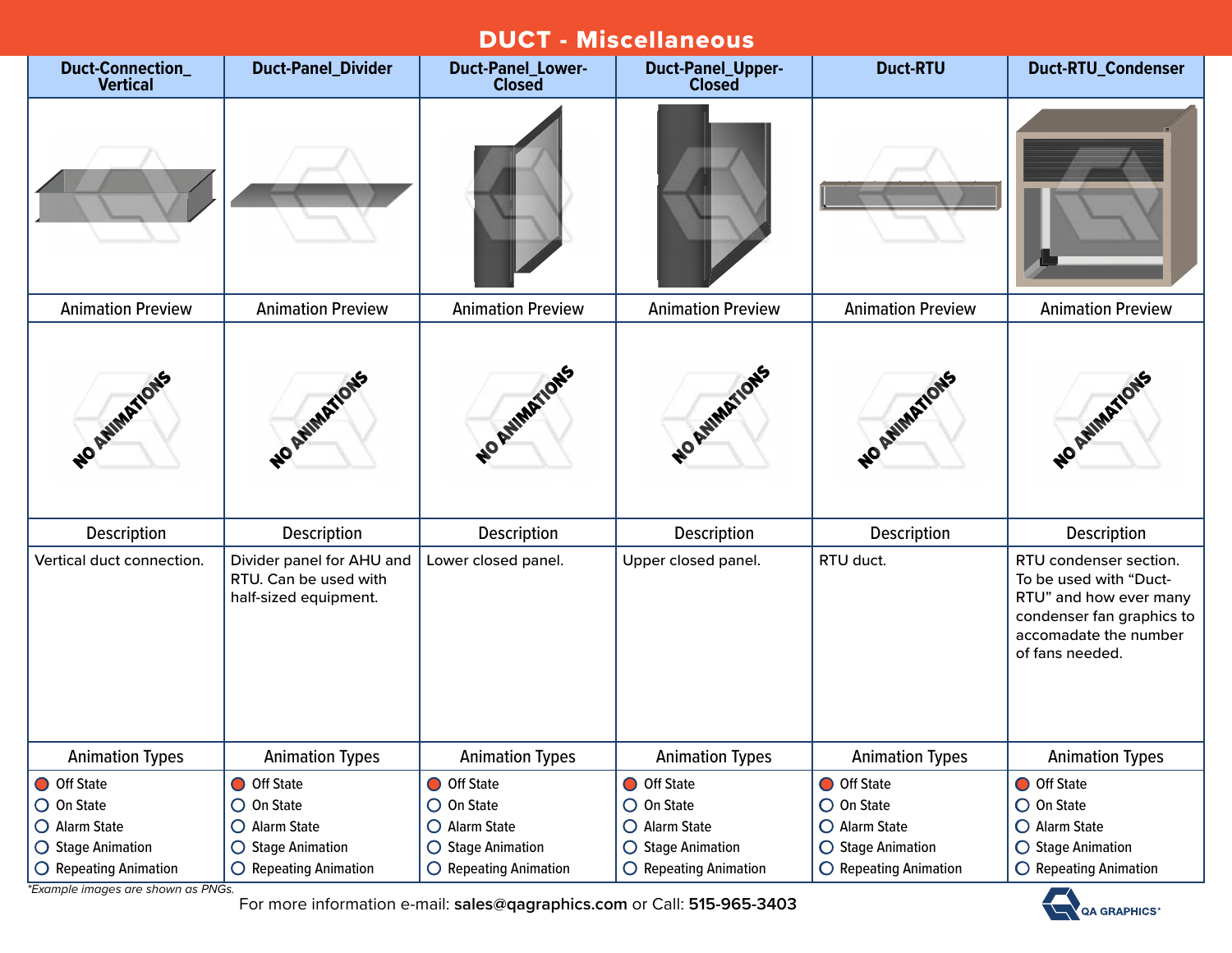| <b>DUCT - Miscellaneous</b>         |                                                                             |                                           |                                           |                          |                                                                                                                                                     |  |  |  |
|-------------------------------------|-----------------------------------------------------------------------------|-------------------------------------------|-------------------------------------------|--------------------------|-----------------------------------------------------------------------------------------------------------------------------------------------------|--|--|--|
| Duct-Connection_<br><b>Vertical</b> | <b>Duct-Panel_Divider</b>                                                   | <b>Duct-Panel_Lower-</b><br><b>Closed</b> | <b>Duct-Panel_Upper-</b><br><b>Closed</b> | <b>Duct-RTU</b>          | Duct-RTU_Condenser                                                                                                                                  |  |  |  |
|                                     |                                                                             |                                           |                                           |                          |                                                                                                                                                     |  |  |  |
| <b>Animation Preview</b>            | <b>Animation Preview</b>                                                    | <b>Animation Preview</b>                  | <b>Animation Preview</b>                  | <b>Animation Preview</b> | <b>Animation Preview</b>                                                                                                                            |  |  |  |
| NO AVIMATIONS                       | NO ANIMATIONS                                                               | WO RUMANTONS                              | NO AVIMATIONS                             | NO AMMARIONS             | NO AVIMATIONS                                                                                                                                       |  |  |  |
| Description                         | <b>Description</b>                                                          | <b>Description</b>                        | <b>Description</b>                        | <b>Description</b>       | <b>Description</b>                                                                                                                                  |  |  |  |
| Vertical duct connection.           | Divider panel for AHU and<br>RTU. Can be used with<br>half-sized equipment. | Lower closed panel.                       | Upper closed panel.                       | RTU duct.                | RTU condenser section.<br>To be used with "Duct-<br>RTU" and how ever many<br>condenser fan graphics to<br>accomadate the number<br>of fans needed. |  |  |  |
| <b>Animation Types</b>              | <b>Animation Types</b>                                                      | <b>Animation Types</b>                    | <b>Animation Types</b>                    | <b>Animation Types</b>   | <b>Animation Types</b>                                                                                                                              |  |  |  |
| O Off State                         | O Off State                                                                 | Off State                                 | O Off State                               | O Off State              | O Off State                                                                                                                                         |  |  |  |
| $\bigcirc$ On State                 | $\bigcirc$ On State                                                         | $\bigcirc$ On State                       | $\bigcirc$ On State                       | O On State               | O On State                                                                                                                                          |  |  |  |
| O Alarm State                       | O Alarm State                                                               | O Alarm State                             | O Alarm State                             | O Alarm State            | O Alarm State                                                                                                                                       |  |  |  |
| ○ Stage Animation                   | ○ Stage Animation                                                           | ○ Stage Animation                         | ◯ Stage Animation                         | ○ Stage Animation        | ◯ Stage Animation                                                                                                                                   |  |  |  |
| $\bigcirc$ Repeating Animation      | $\bigcirc$ Repeating Animation                                              | $\bigcirc$ Repeating Animation            | $\bigcirc$ Repeating Animation            | O Repeating Animation    | O Repeating Animation                                                                                                                               |  |  |  |